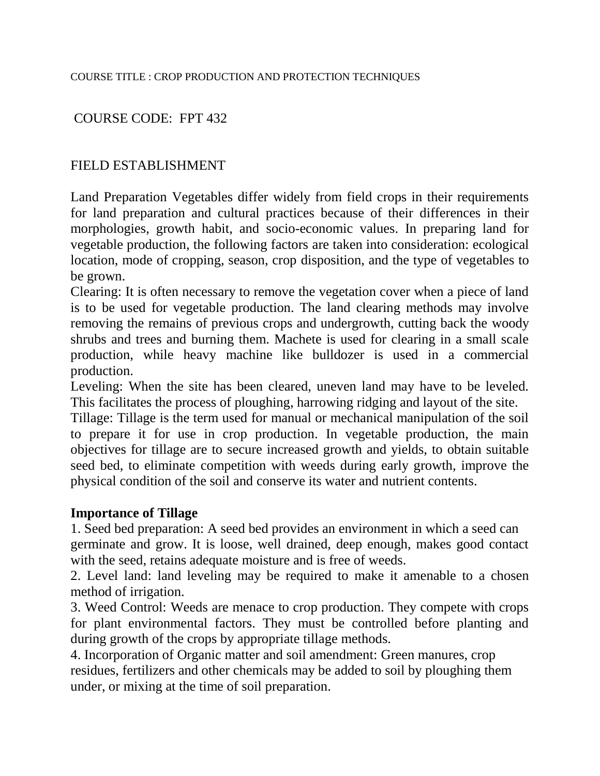### COURSE CODE: FPT 432

#### FIELD ESTABLISHMENT

Land Preparation Vegetables differ widely from field crops in their requirements for land preparation and cultural practices because of their differences in their morphologies, growth habit, and socio-economic values. In preparing land for vegetable production, the following factors are taken into consideration: ecological location, mode of cropping, season, crop disposition, and the type of vegetables to be grown.

Clearing: It is often necessary to remove the vegetation cover when a piece of land is to be used for vegetable production. The land clearing methods may involve removing the remains of previous crops and undergrowth, cutting back the woody shrubs and trees and burning them. Machete is used for clearing in a small scale production, while heavy machine like bulldozer is used in a commercial production.

Leveling: When the site has been cleared, uneven land may have to be leveled. This facilitates the process of ploughing, harrowing ridging and layout of the site.

Tillage: Tillage is the term used for manual or mechanical manipulation of the soil to prepare it for use in crop production. In vegetable production, the main objectives for tillage are to secure increased growth and yields, to obtain suitable seed bed, to eliminate competition with weeds during early growth, improve the physical condition of the soil and conserve its water and nutrient contents.

#### **Importance of Tillage**

1. Seed bed preparation: A seed bed provides an environment in which a seed can germinate and grow. It is loose, well drained, deep enough, makes good contact with the seed, retains adequate moisture and is free of weeds.

2. Level land: land leveling may be required to make it amenable to a chosen method of irrigation.

3. Weed Control: Weeds are menace to crop production. They compete with crops for plant environmental factors. They must be controlled before planting and during growth of the crops by appropriate tillage methods.

4. Incorporation of Organic matter and soil amendment: Green manures, crop residues, fertilizers and other chemicals may be added to soil by ploughing them under, or mixing at the time of soil preparation.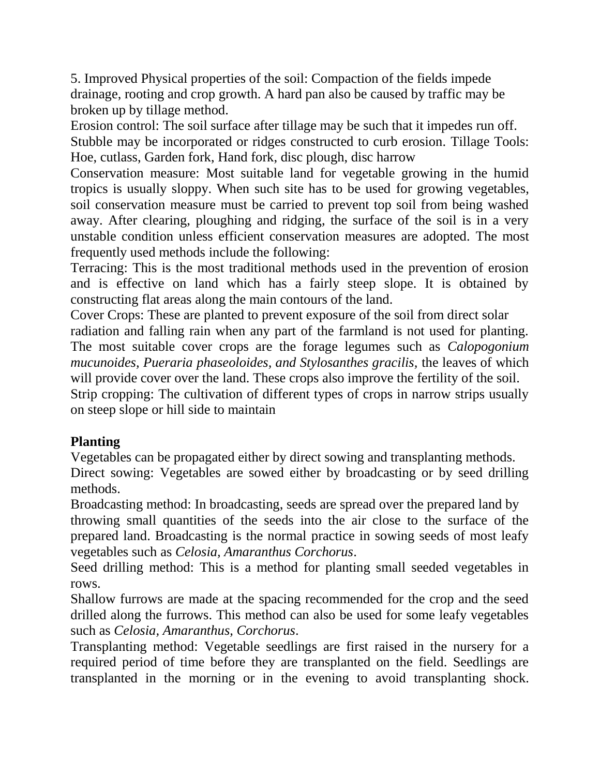5. Improved Physical properties of the soil: Compaction of the fields impede drainage, rooting and crop growth. A hard pan also be caused by traffic may be broken up by tillage method.

Erosion control: The soil surface after tillage may be such that it impedes run off. Stubble may be incorporated or ridges constructed to curb erosion. Tillage Tools: Hoe, cutlass, Garden fork, Hand fork, disc plough, disc harrow

Conservation measure: Most suitable land for vegetable growing in the humid tropics is usually sloppy. When such site has to be used for growing vegetables, soil conservation measure must be carried to prevent top soil from being washed away. After clearing, ploughing and ridging, the surface of the soil is in a very unstable condition unless efficient conservation measures are adopted. The most frequently used methods include the following:

Terracing: This is the most traditional methods used in the prevention of erosion and is effective on land which has a fairly steep slope. It is obtained by constructing flat areas along the main contours of the land.

Cover Crops: These are planted to prevent exposure of the soil from direct solar radiation and falling rain when any part of the farmland is not used for planting. The most suitable cover crops are the forage legumes such as *Calopogonium mucunoides, Pueraria phaseoloides, and Stylosanthes gracilis,* the leaves of which will provide cover over the land. These crops also improve the fertility of the soil. Strip cropping: The cultivation of different types of crops in narrow strips usually on steep slope or hill side to maintain

# **Planting**

Vegetables can be propagated either by direct sowing and transplanting methods. Direct sowing: Vegetables are sowed either by broadcasting or by seed drilling methods.

Broadcasting method: In broadcasting, seeds are spread over the prepared land by throwing small quantities of the seeds into the air close to the surface of the prepared land. Broadcasting is the normal practice in sowing seeds of most leafy vegetables such as *Celosia, Amaranthus Corchorus*.

Seed drilling method: This is a method for planting small seeded vegetables in rows.

Shallow furrows are made at the spacing recommended for the crop and the seed drilled along the furrows. This method can also be used for some leafy vegetables such as *Celosia, Amaranthus, Corchorus*.

Transplanting method: Vegetable seedlings are first raised in the nursery for a required period of time before they are transplanted on the field. Seedlings are transplanted in the morning or in the evening to avoid transplanting shock.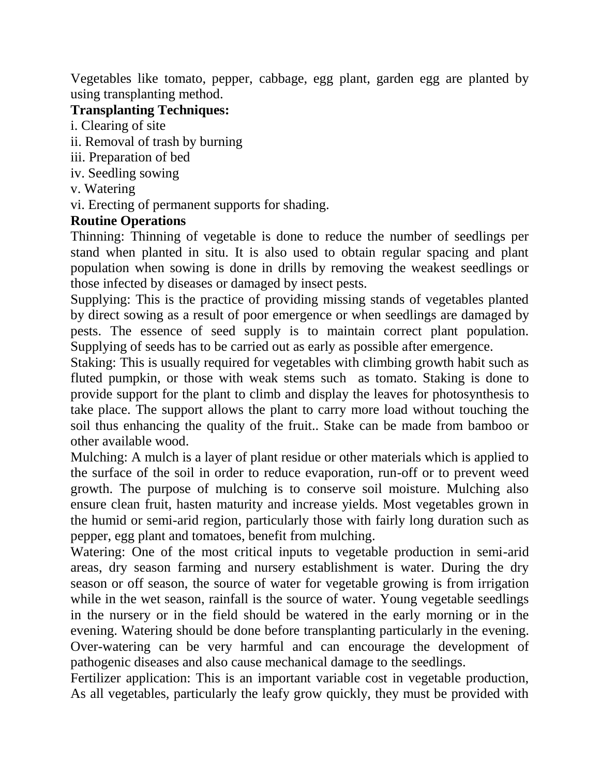Vegetables like tomato, pepper, cabbage, egg plant, garden egg are planted by using transplanting method.

### **Transplanting Techniques:**

i. Clearing of site

- ii. Removal of trash by burning
- iii. Preparation of bed
- iv. Seedling sowing
- v. Watering
- vi. Erecting of permanent supports for shading.

# **Routine Operations**

Thinning: Thinning of vegetable is done to reduce the number of seedlings per stand when planted in situ. It is also used to obtain regular spacing and plant population when sowing is done in drills by removing the weakest seedlings or those infected by diseases or damaged by insect pests.

Supplying: This is the practice of providing missing stands of vegetables planted by direct sowing as a result of poor emergence or when seedlings are damaged by pests. The essence of seed supply is to maintain correct plant population. Supplying of seeds has to be carried out as early as possible after emergence.

Staking: This is usually required for vegetables with climbing growth habit such as fluted pumpkin, or those with weak stems such as tomato. Staking is done to provide support for the plant to climb and display the leaves for photosynthesis to take place. The support allows the plant to carry more load without touching the soil thus enhancing the quality of the fruit.. Stake can be made from bamboo or other available wood.

Mulching: A mulch is a layer of plant residue or other materials which is applied to the surface of the soil in order to reduce evaporation, run-off or to prevent weed growth. The purpose of mulching is to conserve soil moisture. Mulching also ensure clean fruit, hasten maturity and increase yields. Most vegetables grown in the humid or semi-arid region, particularly those with fairly long duration such as pepper, egg plant and tomatoes, benefit from mulching.

Watering: One of the most critical inputs to vegetable production in semi-arid areas, dry season farming and nursery establishment is water. During the dry season or off season, the source of water for vegetable growing is from irrigation while in the wet season, rainfall is the source of water. Young vegetable seedlings in the nursery or in the field should be watered in the early morning or in the evening. Watering should be done before transplanting particularly in the evening. Over-watering can be very harmful and can encourage the development of pathogenic diseases and also cause mechanical damage to the seedlings.

Fertilizer application: This is an important variable cost in vegetable production, As all vegetables, particularly the leafy grow quickly, they must be provided with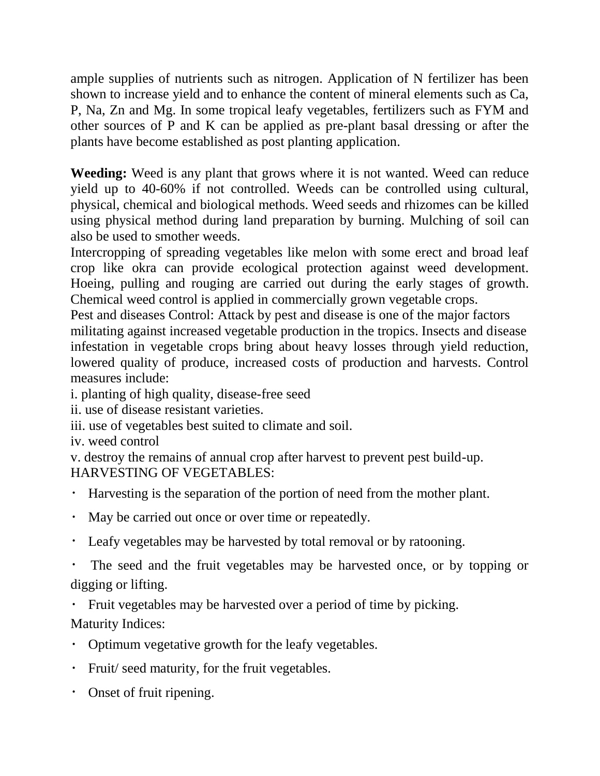ample supplies of nutrients such as nitrogen. Application of N fertilizer has been shown to increase yield and to enhance the content of mineral elements such as Ca, P, Na, Zn and Mg. In some tropical leafy vegetables, fertilizers such as FYM and other sources of P and K can be applied as pre-plant basal dressing or after the plants have become established as post planting application.

**Weeding:** Weed is any plant that grows where it is not wanted. Weed can reduce yield up to 40-60% if not controlled. Weeds can be controlled using cultural, physical, chemical and biological methods. Weed seeds and rhizomes can be killed using physical method during land preparation by burning. Mulching of soil can also be used to smother weeds.

Intercropping of spreading vegetables like melon with some erect and broad leaf crop like okra can provide ecological protection against weed development. Hoeing, pulling and rouging are carried out during the early stages of growth. Chemical weed control is applied in commercially grown vegetable crops.

Pest and diseases Control: Attack by pest and disease is one of the major factors militating against increased vegetable production in the tropics. Insects and disease infestation in vegetable crops bring about heavy losses through yield reduction, lowered quality of produce, increased costs of production and harvests. Control measures include:

i. planting of high quality, disease-free seed

ii. use of disease resistant varieties.

iii. use of vegetables best suited to climate and soil.

iv. weed control

v. destroy the remains of annual crop after harvest to prevent pest build-up. HARVESTING OF VEGETABLES:

- Harvesting is the separation of the portion of need from the mother plant.
- May be carried out once or over time or repeatedly.
- Leafy vegetables may be harvested by total removal or by ratooning.
- $\bullet$  . The seed and the fruit vegetables may be harvested once, or by topping or digging or lifting.

Fruit vegetables may be harvested over a period of time by picking.

Maturity Indices:

- Optimum vegetative growth for the leafy vegetables.
- Fruit/ seed maturity, for the fruit vegetables.
- Onset of fruit ripening.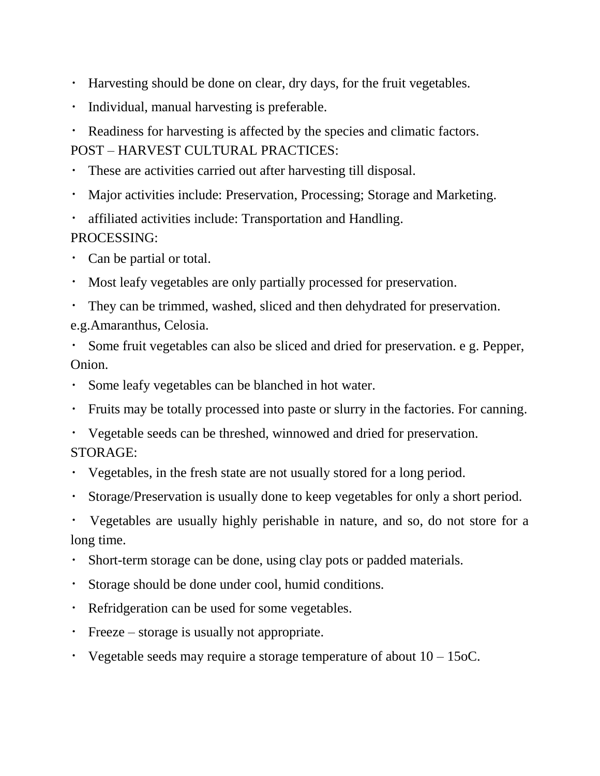- Harvesting should be done on clear, dry days, for the fruit vegetables.
- Individual, manual harvesting is preferable.
- Readiness for harvesting is affected by the species and climatic factors.  $\bullet$  .

POST – HARVEST CULTURAL PRACTICES:

- These are activities carried out after harvesting till disposal.  $\bullet$  .
- Major activities include: Preservation, Processing; Storage and Marketing.
- affiliated activities include: Transportation and Handling.

### PROCESSING:

- Can be partial or total.
- Most leafy vegetables are only partially processed for preservation.
- They can be trimmed, washed, sliced and then dehydrated for preservation.

e.g.Amaranthus, Celosia.

Some fruit vegetables can also be sliced and dried for preservation. e g. Pepper, Onion.

- Some leafy vegetables can be blanched in hot water.
- Fruits may be totally processed into paste or slurry in the factories. For canning.
- Vegetable seeds can be threshed, winnowed and dried for preservation. STORAGE:
- Vegetables, in the fresh state are not usually stored for a long period.
- Storage/Preservation is usually done to keep vegetables for only a short period.

Vegetables are usually highly perishable in nature, and so, do not store for a long time.

- Short-term storage can be done, using clay pots or padded materials.
- Storage should be done under cool, humid conditions.
- Refridgeration can be used for some vegetables.
- Freeze storage is usually not appropriate.
- Vegetable seeds may require a storage temperature of about  $10 15$  oC.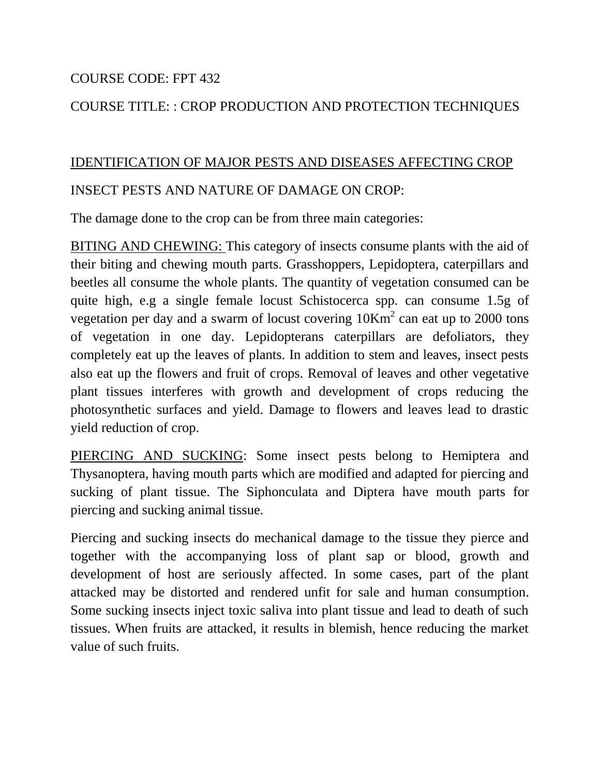#### COURSE CODE: FPT 432

### COURSE TITLE: : CROP PRODUCTION AND PROTECTION TECHNIQUES

# IDENTIFICATION OF MAJOR PESTS AND DISEASES AFFECTING CROP

#### INSECT PESTS AND NATURE OF DAMAGE ON CROP:

The damage done to the crop can be from three main categories:

BITING AND CHEWING: This category of insects consume plants with the aid of their biting and chewing mouth parts. Grasshoppers, Lepidoptera, caterpillars and beetles all consume the whole plants. The quantity of vegetation consumed can be quite high, e.g a single female locust Schistocerca spp. can consume 1.5g of vegetation per day and a swarm of locust covering  $10<sup>K</sup>$  can eat up to 2000 tons of vegetation in one day. Lepidopterans caterpillars are defoliators, they completely eat up the leaves of plants. In addition to stem and leaves, insect pests also eat up the flowers and fruit of crops. Removal of leaves and other vegetative plant tissues interferes with growth and development of crops reducing the photosynthetic surfaces and yield. Damage to flowers and leaves lead to drastic yield reduction of crop.

PIERCING AND SUCKING: Some insect pests belong to Hemiptera and Thysanoptera, having mouth parts which are modified and adapted for piercing and sucking of plant tissue. The Siphonculata and Diptera have mouth parts for piercing and sucking animal tissue.

Piercing and sucking insects do mechanical damage to the tissue they pierce and together with the accompanying loss of plant sap or blood, growth and development of host are seriously affected. In some cases, part of the plant attacked may be distorted and rendered unfit for sale and human consumption. Some sucking insects inject toxic saliva into plant tissue and lead to death of such tissues. When fruits are attacked, it results in blemish, hence reducing the market value of such fruits.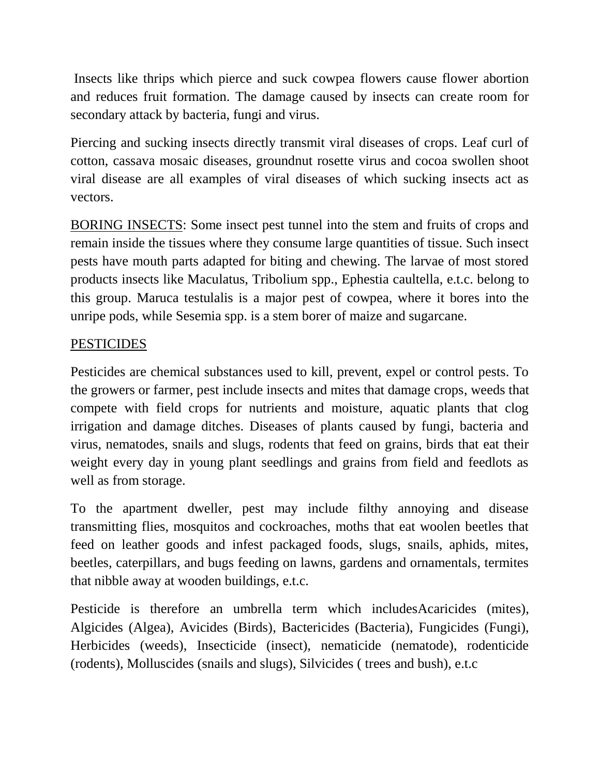Insects like thrips which pierce and suck cowpea flowers cause flower abortion and reduces fruit formation. The damage caused by insects can create room for secondary attack by bacteria, fungi and virus.

Piercing and sucking insects directly transmit viral diseases of crops. Leaf curl of cotton, cassava mosaic diseases, groundnut rosette virus and cocoa swollen shoot viral disease are all examples of viral diseases of which sucking insects act as vectors.

BORING INSECTS: Some insect pest tunnel into the stem and fruits of crops and remain inside the tissues where they consume large quantities of tissue. Such insect pests have mouth parts adapted for biting and chewing. The larvae of most stored products insects like Maculatus, Tribolium spp., Ephestia caultella, e.t.c. belong to this group. Maruca testulalis is a major pest of cowpea, where it bores into the unripe pods, while Sesemia spp. is a stem borer of maize and sugarcane.

### PESTICIDES

Pesticides are chemical substances used to kill, prevent, expel or control pests. To the growers or farmer, pest include insects and mites that damage crops, weeds that compete with field crops for nutrients and moisture, aquatic plants that clog irrigation and damage ditches. Diseases of plants caused by fungi, bacteria and virus, nematodes, snails and slugs, rodents that feed on grains, birds that eat their weight every day in young plant seedlings and grains from field and feedlots as well as from storage.

To the apartment dweller, pest may include filthy annoying and disease transmitting flies, mosquitos and cockroaches, moths that eat woolen beetles that feed on leather goods and infest packaged foods, slugs, snails, aphids, mites, beetles, caterpillars, and bugs feeding on lawns, gardens and ornamentals, termites that nibble away at wooden buildings, e.t.c.

Pesticide is therefore an umbrella term which includesAcaricides (mites), Algicides (Algea), Avicides (Birds), Bactericides (Bacteria), Fungicides (Fungi), Herbicides (weeds), Insecticide (insect), nematicide (nematode), rodenticide (rodents), Molluscides (snails and slugs), Silvicides ( trees and bush), e.t.c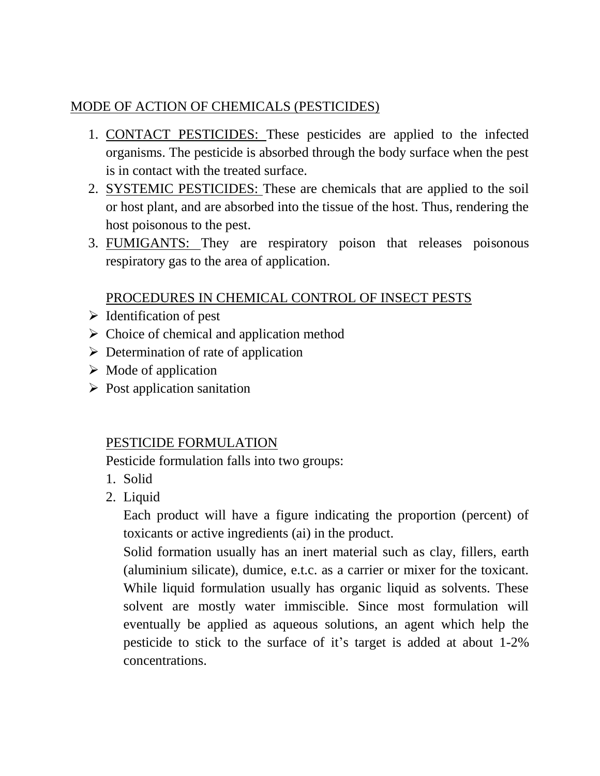# MODE OF ACTION OF CHEMICALS (PESTICIDES)

- 1. CONTACT PESTICIDES: These pesticides are applied to the infected organisms. The pesticide is absorbed through the body surface when the pest is in contact with the treated surface.
- 2. SYSTEMIC PESTICIDES: These are chemicals that are applied to the soil or host plant, and are absorbed into the tissue of the host. Thus, rendering the host poisonous to the pest.
- 3. FUMIGANTS: They are respiratory poison that releases poisonous respiratory gas to the area of application.

# PROCEDURES IN CHEMICAL CONTROL OF INSECT PESTS

- $\triangleright$  Identification of pest
- $\triangleright$  Choice of chemical and application method
- $\triangleright$  Determination of rate of application
- $\triangleright$  Mode of application
- $\triangleright$  Post application sanitation

# PESTICIDE FORMULATION

Pesticide formulation falls into two groups:

- 1. Solid
- 2. Liquid

Each product will have a figure indicating the proportion (percent) of toxicants or active ingredients (ai) in the product.

Solid formation usually has an inert material such as clay, fillers, earth (aluminium silicate), dumice, e.t.c. as a carrier or mixer for the toxicant. While liquid formulation usually has organic liquid as solvents. These solvent are mostly water immiscible. Since most formulation will eventually be applied as aqueous solutions, an agent which help the pesticide to stick to the surface of it's target is added at about 1-2% concentrations.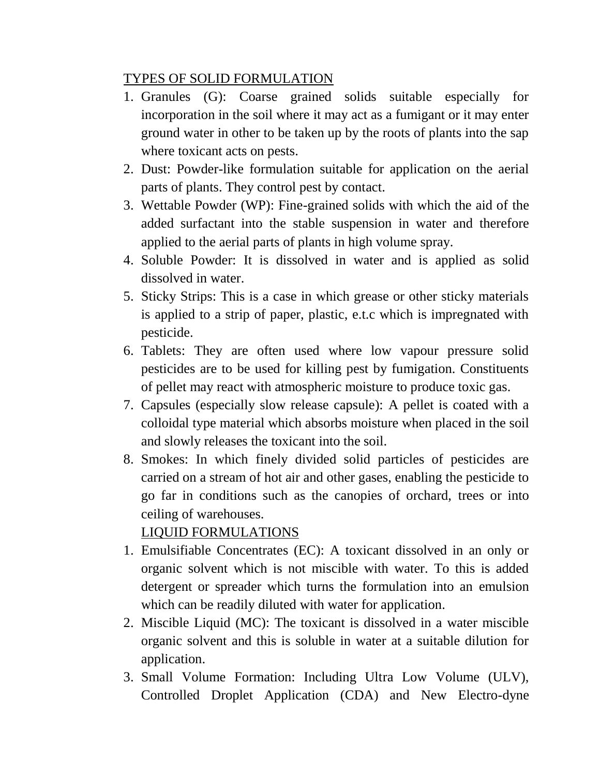### TYPES OF SOLID FORMULATION

- 1. Granules (G): Coarse grained solids suitable especially for incorporation in the soil where it may act as a fumigant or it may enter ground water in other to be taken up by the roots of plants into the sap where toxicant acts on pests.
- 2. Dust: Powder-like formulation suitable for application on the aerial parts of plants. They control pest by contact.
- 3. Wettable Powder (WP): Fine-grained solids with which the aid of the added surfactant into the stable suspension in water and therefore applied to the aerial parts of plants in high volume spray.
- 4. Soluble Powder: It is dissolved in water and is applied as solid dissolved in water.
- 5. Sticky Strips: This is a case in which grease or other sticky materials is applied to a strip of paper, plastic, e.t.c which is impregnated with pesticide.
- 6. Tablets: They are often used where low vapour pressure solid pesticides are to be used for killing pest by fumigation. Constituents of pellet may react with atmospheric moisture to produce toxic gas.
- 7. Capsules (especially slow release capsule): A pellet is coated with a colloidal type material which absorbs moisture when placed in the soil and slowly releases the toxicant into the soil.
- 8. Smokes: In which finely divided solid particles of pesticides are carried on a stream of hot air and other gases, enabling the pesticide to go far in conditions such as the canopies of orchard, trees or into ceiling of warehouses.

# LIQUID FORMULATIONS

- 1. Emulsifiable Concentrates (EC): A toxicant dissolved in an only or organic solvent which is not miscible with water. To this is added detergent or spreader which turns the formulation into an emulsion which can be readily diluted with water for application.
- 2. Miscible Liquid (MC): The toxicant is dissolved in a water miscible organic solvent and this is soluble in water at a suitable dilution for application.
- 3. Small Volume Formation: Including Ultra Low Volume (ULV), Controlled Droplet Application (CDA) and New Electro-dyne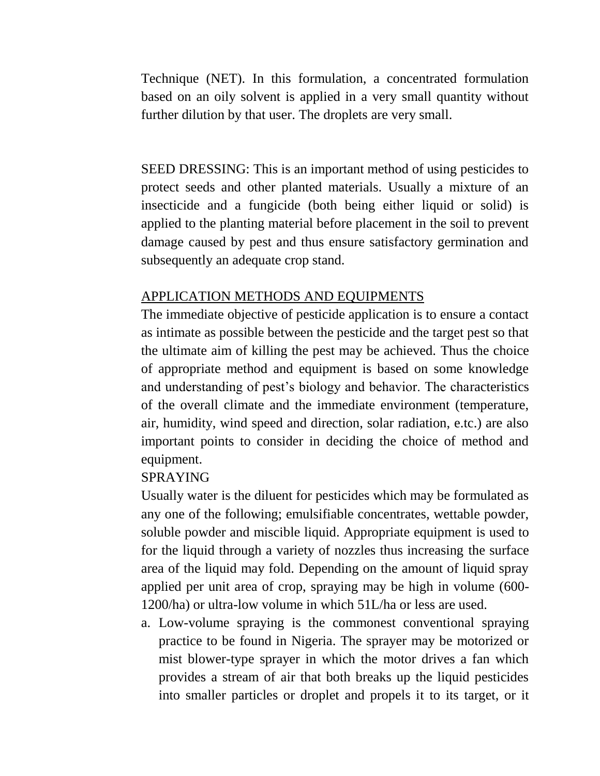Technique (NET). In this formulation, a concentrated formulation based on an oily solvent is applied in a very small quantity without further dilution by that user. The droplets are very small.

SEED DRESSING: This is an important method of using pesticides to protect seeds and other planted materials. Usually a mixture of an insecticide and a fungicide (both being either liquid or solid) is applied to the planting material before placement in the soil to prevent damage caused by pest and thus ensure satisfactory germination and subsequently an adequate crop stand.

#### APPLICATION METHODS AND EQUIPMENTS

The immediate objective of pesticide application is to ensure a contact as intimate as possible between the pesticide and the target pest so that the ultimate aim of killing the pest may be achieved. Thus the choice of appropriate method and equipment is based on some knowledge and understanding of pest's biology and behavior. The characteristics of the overall climate and the immediate environment (temperature, air, humidity, wind speed and direction, solar radiation, e.tc.) are also important points to consider in deciding the choice of method and equipment.

### SPRAYING

Usually water is the diluent for pesticides which may be formulated as any one of the following; emulsifiable concentrates, wettable powder, soluble powder and miscible liquid. Appropriate equipment is used to for the liquid through a variety of nozzles thus increasing the surface area of the liquid may fold. Depending on the amount of liquid spray applied per unit area of crop, spraying may be high in volume (600- 1200/ha) or ultra-low volume in which 51L/ha or less are used.

a. Low-volume spraying is the commonest conventional spraying practice to be found in Nigeria. The sprayer may be motorized or mist blower-type sprayer in which the motor drives a fan which provides a stream of air that both breaks up the liquid pesticides into smaller particles or droplet and propels it to its target, or it